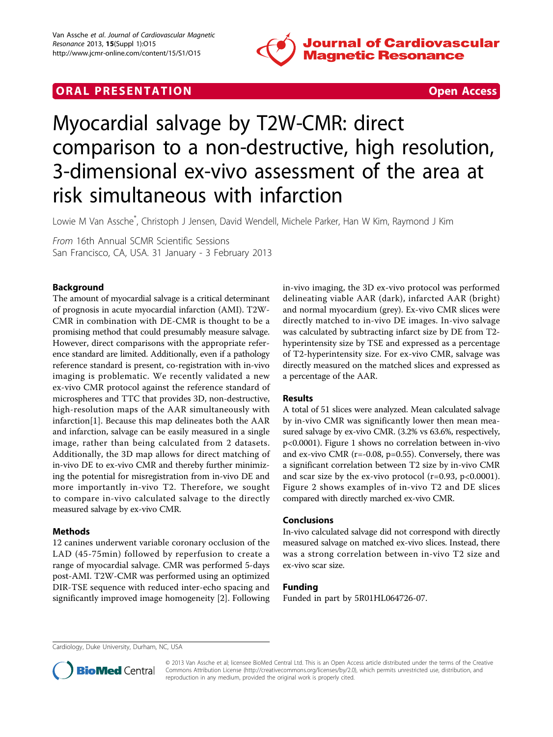

## **ORAL PRESENTATION CONSUMING ACCESS**



# Myocardial salvage by T2W-CMR: direct comparison to a non-destructive, high resolution, 3-dimensional ex-vivo assessment of the area at risk simultaneous with infarction

Lowie M Van Assche\* , Christoph J Jensen, David Wendell, Michele Parker, Han W Kim, Raymond J Kim

From 16th Annual SCMR Scientific Sessions San Francisco, CA, USA. 31 January - 3 February 2013

### Background

The amount of myocardial salvage is a critical determinant of prognosis in acute myocardial infarction (AMI). T2W-CMR in combination with DE-CMR is thought to be a promising method that could presumably measure salvage. However, direct comparisons with the appropriate reference standard are limited. Additionally, even if a pathology reference standard is present, co-registration with in-vivo imaging is problematic. We recently validated a new ex-vivo CMR protocol against the reference standard of microspheres and TTC that provides 3D, non-destructive, high-resolution maps of the AAR simultaneously with infarction[\[1](#page-2-0)]. Because this map delineates both the AAR and infarction, salvage can be easily measured in a single image, rather than being calculated from 2 datasets. Additionally, the 3D map allows for direct matching of in-vivo DE to ex-vivo CMR and thereby further minimizing the potential for misregistration from in-vivo DE and more importantly in-vivo T2. Therefore, we sought to compare in-vivo calculated salvage to the directly measured salvage by ex-vivo CMR.

### **Methods**

12 canines underwent variable coronary occlusion of the LAD (45-75min) followed by reperfusion to create a range of myocardial salvage. CMR was performed 5-days post-AMI. T2W-CMR was performed using an optimized DIR-TSE sequence with reduced inter-echo spacing and significantly improved image homogeneity [\[2](#page-2-0)]. Following in-vivo imaging, the 3D ex-vivo protocol was performed delineating viable AAR (dark), infarcted AAR (bright) and normal myocardium (grey). Ex-vivo CMR slices were directly matched to in-vivo DE images. In-vivo salvage was calculated by subtracting infarct size by DE from T2hyperintensity size by TSE and expressed as a percentage of T2-hyperintensity size. For ex-vivo CMR, salvage was directly measured on the matched slices and expressed as a percentage of the AAR.

## Results

A total of 51 slices were analyzed. Mean calculated salvage by in-vivo CMR was significantly lower then mean measured salvage by ex-vivo CMR. (3.2% vs 63.6%, respectively, p<0.0001). Figure [1](#page-1-0) shows no correlation between in-vivo and ex-vivo CMR (r=-0.08, p=0.55). Conversely, there was a significant correlation between T2 size by in-vivo CMR and scar size by the ex-vivo protocol  $(r=0.93, p<0.0001)$ . Figure [2](#page-1-0) shows examples of in-vivo T2 and DE slices compared with directly marched ex-vivo CMR.

### Conclusions

In-vivo calculated salvage did not correspond with directly measured salvage on matched ex-vivo slices. Instead, there was a strong correlation between in-vivo T2 size and ex-vivo scar size.

### Funding

Funded in part by 5R01HL064726-07.

Cardiology, Duke University, Durham, NC, USA



© 2013 Van Assche et al; licensee BioMed Central Ltd. This is an Open Access article distributed under the terms of the Creative Commons Attribution License [\(http://creativecommons.org/licenses/by/2.0](http://creativecommons.org/licenses/by/2.0)), which permits unrestricted use, distribution, and reproduction in any medium, provided the original work is properly cited.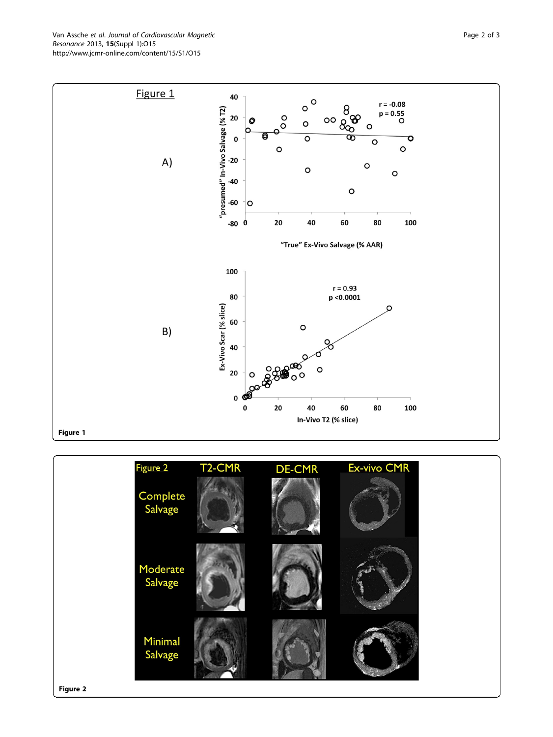<span id="page-1-0"></span>Van Assche et al. Journal of Cardiovascular Magnetic Resonance 2013, 15(Suppl 1):O15 http://www.jcmr-online.com/content/15/S1/O15